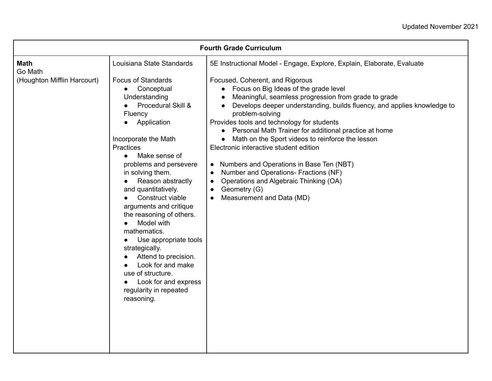| <b>Fourth Grade Curriculum</b> |                                                                                                                                                                                                                                                                                                                                                                                                                                                                                                                                                                   |                                                                                                                                                                                                                                                                                                                                                                                                                                                                                                                                                                                                                                                                                                              |
|--------------------------------|-------------------------------------------------------------------------------------------------------------------------------------------------------------------------------------------------------------------------------------------------------------------------------------------------------------------------------------------------------------------------------------------------------------------------------------------------------------------------------------------------------------------------------------------------------------------|--------------------------------------------------------------------------------------------------------------------------------------------------------------------------------------------------------------------------------------------------------------------------------------------------------------------------------------------------------------------------------------------------------------------------------------------------------------------------------------------------------------------------------------------------------------------------------------------------------------------------------------------------------------------------------------------------------------|
| <b>Math</b><br>Go Math         | Louisiana State Standards                                                                                                                                                                                                                                                                                                                                                                                                                                                                                                                                         | 5E Instructional Model - Engage, Explore, Explain, Elaborate, Evaluate                                                                                                                                                                                                                                                                                                                                                                                                                                                                                                                                                                                                                                       |
| (Houghton Mifflin Harcourt)    | <b>Focus of Standards</b><br>Conceptual<br>Understanding<br>Procedural Skill &<br>Fluency<br>Application<br>Incorporate the Math<br><b>Practices</b><br>Make sense of<br>$\bullet$<br>problems and persevere<br>in solving them.<br>Reason abstractly<br>and quantitatively.<br>Construct viable<br>arguments and critique<br>the reasoning of others.<br>Model with<br>mathematics.<br>Use appropriate tools<br>strategically.<br>Attend to precision.<br>Look for and make<br>use of structure.<br>Look for and express<br>regularity in repeated<br>reasoning. | Focused, Coherent, and Rigorous<br>• Focus on Big Ideas of the grade level<br>Meaningful, seamless progression from grade to grade<br>$\bullet$<br>Develops deeper understanding, builds fluency, and applies knowledge to<br>$\bullet$<br>problem-solving<br>Provides tools and technology for students<br>Personal Math Trainer for additional practice at home<br>Math on the Sport videos to reinforce the lesson<br>Electronic interactive student edition<br>Numbers and Operations in Base Ten (NBT)<br>$\bullet$<br>Number and Operations- Fractions (NF)<br>$\bullet$<br>Operations and Algebraic Thinking (OA)<br>$\bullet$<br>Geometry (G)<br>$\bullet$<br>Measurement and Data (MD)<br>$\bullet$ |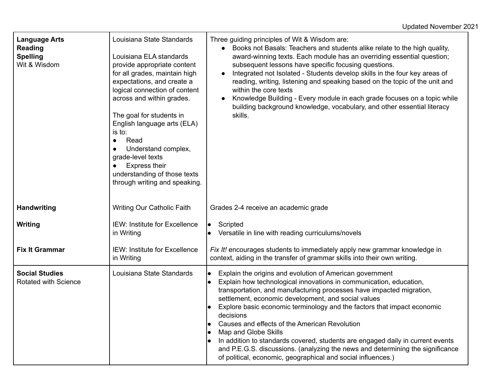| <b>Language Arts</b><br>Reading<br><b>Spelling</b><br>Wit & Wisdom | Louisiana State Standards<br>Louisiana ELA standards<br>provide appropriate content<br>for all grades, maintain high<br>expectations, and create a<br>logical connection of content<br>across and within grades.<br>The goal for students in<br>English language arts (ELA)<br>is to:<br>Read<br>$\bullet$<br>Understand complex,<br>grade-level texts<br><b>Express their</b><br>understanding of those texts<br>through writing and speaking. | Three guiding principles of Wit & Wisdom are:<br>Books not Basals: Teachers and students alike relate to the high quality,<br>award-winning texts. Each module has an overriding essential question;<br>subsequent lessons have specific focusing questions.<br>Integrated not Isolated - Students develop skills in the four key areas of<br>reading, writing, listening and speaking based on the topic of the unit and<br>within the core texts<br>Knowledge Building - Every module in each grade focuses on a topic while<br>building background knowledge, vocabulary, and other essential literacy<br>skills.                                                                                                   |
|--------------------------------------------------------------------|-------------------------------------------------------------------------------------------------------------------------------------------------------------------------------------------------------------------------------------------------------------------------------------------------------------------------------------------------------------------------------------------------------------------------------------------------|------------------------------------------------------------------------------------------------------------------------------------------------------------------------------------------------------------------------------------------------------------------------------------------------------------------------------------------------------------------------------------------------------------------------------------------------------------------------------------------------------------------------------------------------------------------------------------------------------------------------------------------------------------------------------------------------------------------------|
| <b>Handwriting</b>                                                 | <b>Writing Our Catholic Faith</b>                                                                                                                                                                                                                                                                                                                                                                                                               | Grades 2-4 receive an academic grade                                                                                                                                                                                                                                                                                                                                                                                                                                                                                                                                                                                                                                                                                   |
| Writing                                                            | <b>IEW: Institute for Excellence</b><br>in Writing                                                                                                                                                                                                                                                                                                                                                                                              | Scripted<br>$\bullet$<br>Versatile in line with reading curriculums/novels                                                                                                                                                                                                                                                                                                                                                                                                                                                                                                                                                                                                                                             |
| <b>Fix It Grammar</b>                                              | <b>IEW: Institute for Excellence</b><br>in Writing                                                                                                                                                                                                                                                                                                                                                                                              | Fix It! encourages students to immediately apply new grammar knowledge in<br>context, aiding in the transfer of grammar skills into their own writing.                                                                                                                                                                                                                                                                                                                                                                                                                                                                                                                                                                 |
| <b>Social Studies</b><br>Rotated with Science                      | Louisiana State Standards                                                                                                                                                                                                                                                                                                                                                                                                                       | Explain the origins and evolution of American government<br>$\bullet$<br>Explain how technological innovations in communication, education,<br>$\bullet$<br>transportation, and manufacturing processes have impacted migration,<br>settlement, economic development, and social values<br>Explore basic economic terminology and the factors that impact economic<br>$\bullet$<br>decisions<br>Causes and effects of the American Revolution<br>Map and Globe Skills<br>In addition to standards covered, students are engaged daily in current events<br>$\bullet$<br>and P.E.G.S. discussions. (analyzing the news and determining the significance<br>of political, economic, geographical and social influences.) |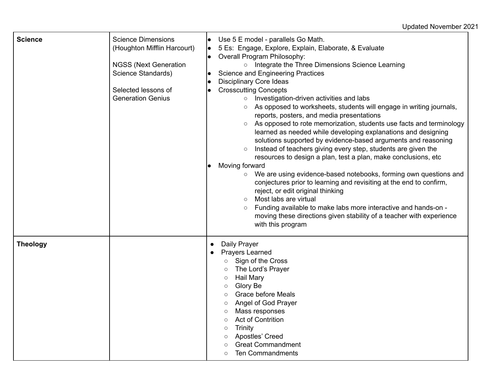Updated November 2021

| <b>Science</b>  | <b>Science Dimensions</b><br>(Houghton Mifflin Harcourt)<br><b>NGSS (Next Generation</b><br>Science Standards)<br>Selected lessons of<br><b>Generation Genius</b> | Use 5 E model - parallels Go Math.<br>5 Es: Engage, Explore, Explain, Elaborate, & Evaluate<br>Overall Program Philosophy:<br>o Integrate the Three Dimensions Science Learning<br><b>Science and Engineering Practices</b><br><b>Disciplinary Core Ideas</b><br><b>Crosscutting Concepts</b><br>$\circ$ Investigation-driven activities and labs<br>As opposed to worksheets, students will engage in writing journals,<br>$\circ$<br>reports, posters, and media presentations<br>As opposed to rote memorization, students use facts and terminology<br>$\circ$<br>learned as needed while developing explanations and designing<br>solutions supported by evidence-based arguments and reasoning<br>Instead of teachers giving every step, students are given the<br>resources to design a plan, test a plan, make conclusions, etc.<br>Moving forward<br>We are using evidence-based notebooks, forming own questions and<br>$\circ$<br>conjectures prior to learning and revisiting at the end to confirm,<br>reject, or edit original thinking<br>Most labs are virtual<br>$\circ$<br>Funding available to make labs more interactive and hands-on -<br>$\circ$<br>moving these directions given stability of a teacher with experience<br>with this program |
|-----------------|-------------------------------------------------------------------------------------------------------------------------------------------------------------------|---------------------------------------------------------------------------------------------------------------------------------------------------------------------------------------------------------------------------------------------------------------------------------------------------------------------------------------------------------------------------------------------------------------------------------------------------------------------------------------------------------------------------------------------------------------------------------------------------------------------------------------------------------------------------------------------------------------------------------------------------------------------------------------------------------------------------------------------------------------------------------------------------------------------------------------------------------------------------------------------------------------------------------------------------------------------------------------------------------------------------------------------------------------------------------------------------------------------------------------------------------------------|
| <b>Theology</b> |                                                                                                                                                                   | Daily Prayer<br>$\bullet$<br><b>Prayers Learned</b><br>$\bullet$<br>Sign of the Cross<br>The Lord's Prayer<br>$\circ$<br><b>Hail Mary</b><br>$\circ$<br>Glory Be<br>$\circ$<br><b>Grace before Meals</b><br>Angel of God Prayer<br>Mass responses<br><b>Act of Contrition</b><br>$\circ$<br>Trinity<br>$\circ$<br>Apostles' Creed<br>$\circ$<br><b>Great Commandment</b><br><b>Ten Commandments</b>                                                                                                                                                                                                                                                                                                                                                                                                                                                                                                                                                                                                                                                                                                                                                                                                                                                                 |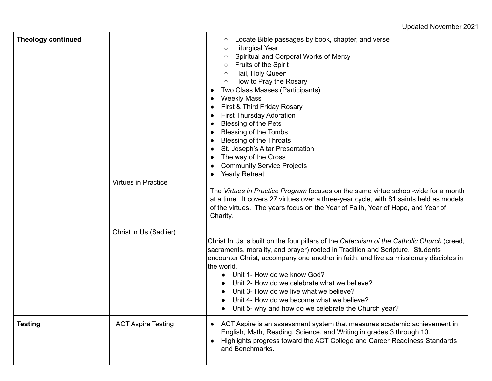Updated November 2021

| <b>Theology continued</b> | <b>Virtues in Practice</b> | Locate Bible passages by book, chapter, and verse<br>$\circ$<br><b>Liturgical Year</b><br>$\circ$<br>Spiritual and Corporal Works of Mercy<br>$\circ$<br>Fruits of the Spirit<br>$\circ$<br>Hail, Holy Queen<br>$\circ$<br>○ How to Pray the Rosary<br>Two Class Masses (Participants)<br>$\bullet$<br><b>Weekly Mass</b><br>$\bullet$<br>First & Third Friday Rosary<br>$\bullet$<br><b>First Thursday Adoration</b><br>$\bullet$<br><b>Blessing of the Pets</b><br>$\bullet$<br><b>Blessing of the Tombs</b><br>$\bullet$<br><b>Blessing of the Throats</b><br>$\bullet$<br>St. Joseph's Altar Presentation<br>$\bullet$<br>The way of the Cross<br>$\bullet$<br><b>Community Service Projects</b><br>$\bullet$<br><b>Yearly Retreat</b><br>$\bullet$<br>The Virtues in Practice Program focuses on the same virtue school-wide for a month<br>at a time. It covers 27 virtues over a three-year cycle, with 81 saints held as models<br>of the virtues. The years focus on the Year of Faith, Year of Hope, and Year of<br>Charity. |
|---------------------------|----------------------------|----------------------------------------------------------------------------------------------------------------------------------------------------------------------------------------------------------------------------------------------------------------------------------------------------------------------------------------------------------------------------------------------------------------------------------------------------------------------------------------------------------------------------------------------------------------------------------------------------------------------------------------------------------------------------------------------------------------------------------------------------------------------------------------------------------------------------------------------------------------------------------------------------------------------------------------------------------------------------------------------------------------------------------------|
|                           | Christ in Us (Sadlier)     | Christ In Us is built on the four pillars of the Catechism of the Catholic Church (creed,<br>sacraments, morality, and prayer) rooted in Tradition and Scripture. Students<br>encounter Christ, accompany one another in faith, and live as missionary disciples in<br>the world.<br>Unit 1- How do we know God?<br>$\bullet$<br>Unit 2- How do we celebrate what we believe?<br>Unit 3- How do we live what we believe?<br>Unit 4- How do we become what we believe?<br>Unit 5- why and how do we celebrate the Church year?<br>$\bullet$                                                                                                                                                                                                                                                                                                                                                                                                                                                                                             |
| <b>Testing</b>            | <b>ACT Aspire Testing</b>  | ACT Aspire is an assessment system that measures academic achievement in<br>English, Math, Reading, Science, and Writing in grades 3 through 10.<br>Highlights progress toward the ACT College and Career Readiness Standards<br>$\bullet$<br>and Benchmarks.                                                                                                                                                                                                                                                                                                                                                                                                                                                                                                                                                                                                                                                                                                                                                                          |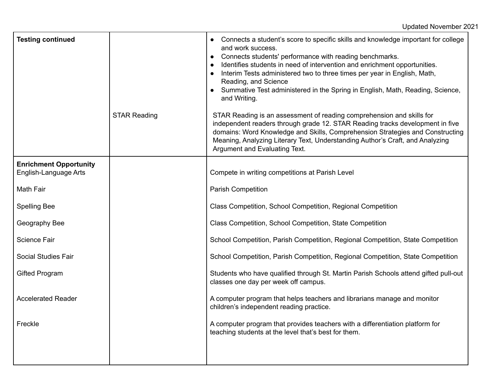| <b>Testing continued</b>                               |                     | Connects a student's score to specific skills and knowledge important for college<br>and work success.<br>Connects students' performance with reading benchmarks.<br>$\bullet$<br>Identifies students in need of intervention and enrichment opportunities.<br>$\bullet$<br>Interim Tests administered two to three times per year in English, Math,<br>$\bullet$<br>Reading, and Science<br>Summative Test administered in the Spring in English, Math, Reading, Science,<br>and Writing. |
|--------------------------------------------------------|---------------------|--------------------------------------------------------------------------------------------------------------------------------------------------------------------------------------------------------------------------------------------------------------------------------------------------------------------------------------------------------------------------------------------------------------------------------------------------------------------------------------------|
|                                                        | <b>STAR Reading</b> | STAR Reading is an assessment of reading comprehension and skills for<br>independent readers through grade 12. STAR Reading tracks development in five<br>domains: Word Knowledge and Skills, Comprehension Strategies and Constructing<br>Meaning, Analyzing Literary Text, Understanding Author's Craft, and Analyzing<br>Argument and Evaluating Text.                                                                                                                                  |
| <b>Enrichment Opportunity</b><br>English-Language Arts |                     | Compete in writing competitions at Parish Level                                                                                                                                                                                                                                                                                                                                                                                                                                            |
| <b>Math Fair</b>                                       |                     | <b>Parish Competition</b>                                                                                                                                                                                                                                                                                                                                                                                                                                                                  |
| <b>Spelling Bee</b>                                    |                     | Class Competition, School Competition, Regional Competition                                                                                                                                                                                                                                                                                                                                                                                                                                |
| Geography Bee                                          |                     | Class Competition, School Competition, State Competition                                                                                                                                                                                                                                                                                                                                                                                                                                   |
| <b>Science Fair</b>                                    |                     | School Competition, Parish Competition, Regional Competition, State Competition                                                                                                                                                                                                                                                                                                                                                                                                            |
| <b>Social Studies Fair</b>                             |                     | School Competition, Parish Competition, Regional Competition, State Competition                                                                                                                                                                                                                                                                                                                                                                                                            |
| <b>Gifted Program</b>                                  |                     | Students who have qualified through St. Martin Parish Schools attend gifted pull-out<br>classes one day per week off campus.                                                                                                                                                                                                                                                                                                                                                               |
| <b>Accelerated Reader</b>                              |                     | A computer program that helps teachers and librarians manage and monitor<br>children's independent reading practice.                                                                                                                                                                                                                                                                                                                                                                       |
| Freckle                                                |                     | A computer program that provides teachers with a differentiation platform for<br>teaching students at the level that's best for them.                                                                                                                                                                                                                                                                                                                                                      |
|                                                        |                     |                                                                                                                                                                                                                                                                                                                                                                                                                                                                                            |